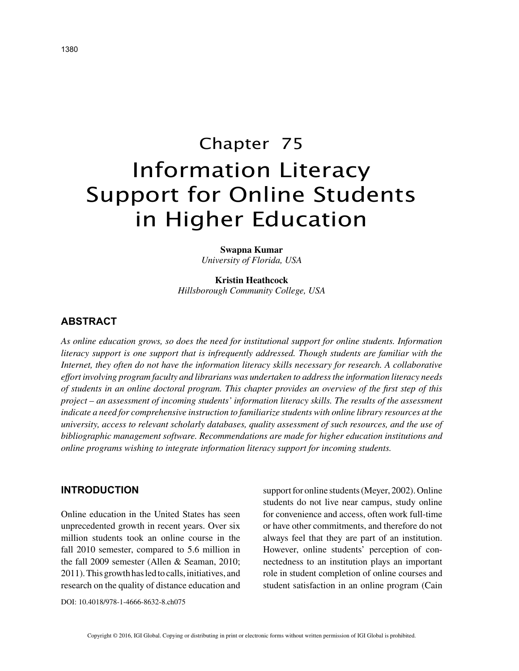# Chapter 75 Information Literacy Support for Online Students in Higher Education

**Swapna Kumar** *University of Florida, USA*

**Kristin Heathcock** *Hillsborough Community College, USA*

# **ABSTRACT**

*As online education grows, so does the need for institutional support for online students. Information literacy support is one support that is infrequently addressed. Though students are familiar with the Internet, they often do not have the information literacy skills necessary for research. A collaborative effort involving program faculty and librarians was undertaken to address the information literacy needs of students in an online doctoral program. This chapter provides an overview of the first step of this project – an assessment of incoming students' information literacy skills. The results of the assessment indicate a need for comprehensive instruction to familiarize students with online library resources at the university, access to relevant scholarly databases, quality assessment of such resources, and the use of bibliographic management software. Recommendations are made for higher education institutions and online programs wishing to integrate information literacy support for incoming students.*

### **INTRODUCTION**

Online education in the United States has seen unprecedented growth in recent years. Over six million students took an online course in the fall 2010 semester, compared to 5.6 million in the fall 2009 semester (Allen & Seaman, 2010; 2011). This growth has led to calls, initiatives, and research on the quality of distance education and support for online students (Meyer, 2002). Online students do not live near campus, study online for convenience and access, often work full-time or have other commitments, and therefore do not always feel that they are part of an institution. However, online students' perception of connectedness to an institution plays an important role in student completion of online courses and student satisfaction in an online program (Cain

DOI: 10.4018/978-1-4666-8632-8.ch075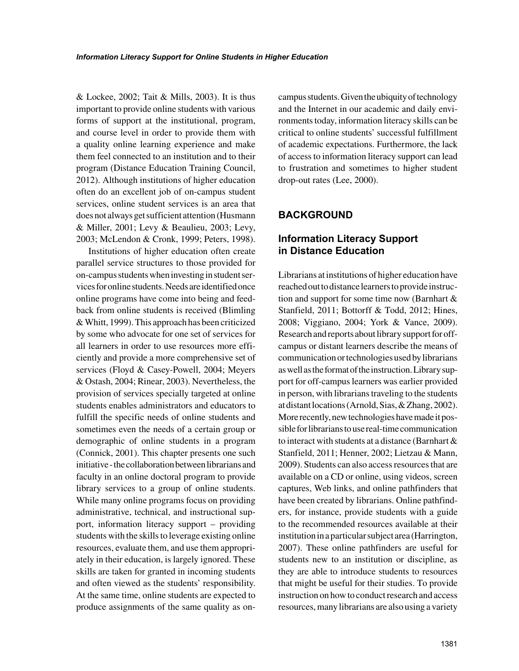& Lockee, 2002; Tait & Mills, 2003). It is thus important to provide online students with various forms of support at the institutional, program, and course level in order to provide them with a quality online learning experience and make them feel connected to an institution and to their program (Distance Education Training Council, 2012). Although institutions of higher education often do an excellent job of on-campus student services, online student services is an area that does not always get sufficient attention (Husmann & Miller, 2001; Levy & Beaulieu, 2003; Levy, 2003; McLendon & Cronk, 1999; Peters, 1998).

Institutions of higher education often create parallel service structures to those provided for on-campus students when investing in student services for online students. Needs are identified once online programs have come into being and feedback from online students is received (Blimling & Whitt, 1999). This approach has been criticized by some who advocate for one set of services for all learners in order to use resources more efficiently and provide a more comprehensive set of services (Floyd & Casey-Powell, 2004; Meyers & Ostash, 2004; Rinear, 2003). Nevertheless, the provision of services specially targeted at online students enables administrators and educators to fulfill the specific needs of online students and sometimes even the needs of a certain group or demographic of online students in a program (Connick, 2001). This chapter presents one such initiative - the collaboration between librarians and faculty in an online doctoral program to provide library services to a group of online students. While many online programs focus on providing administrative, technical, and instructional support, information literacy support – providing students with the skills to leverage existing online resources, evaluate them, and use them appropriately in their education, is largely ignored. These skills are taken for granted in incoming students and often viewed as the students' responsibility. At the same time, online students are expected to produce assignments of the same quality as oncampus students. Given the ubiquity of technology and the Internet in our academic and daily environments today, information literacy skills can be critical to online students' successful fulfillment of academic expectations. Furthermore, the lack of access to information literacy support can lead to frustration and sometimes to higher student drop-out rates (Lee, 2000).

## **BACKGROUND**

# **Information Literacy Support in Distance Education**

Librarians at institutions of higher education have reached out to distance learners to provide instruction and support for some time now (Barnhart & Stanfield, 2011; Bottorff & Todd, 2012; Hines, 2008; Viggiano, 2004; York & Vance, 2009). Research and reports about library support for offcampus or distant learners describe the means of communication or technologies used by librarians as well as the format of the instruction. Library support for off-campus learners was earlier provided in person, with librarians traveling to the students at distant locations (Arnold, Sias, & Zhang, 2002). More recently, new technologies have made it possible for librarians to use real-time communication to interact with students at a distance (Barnhart & Stanfield, 2011; Henner, 2002; Lietzau & Mann, 2009). Students can also access resources that are available on a CD or online, using videos, screen captures, Web links, and online pathfinders that have been created by librarians. Online pathfinders, for instance, provide students with a guide to the recommended resources available at their institution in a particular subject area (Harrington, 2007). These online pathfinders are useful for students new to an institution or discipline, as they are able to introduce students to resources that might be useful for their studies. To provide instruction on how to conduct research and access resources, many librarians are also using a variety